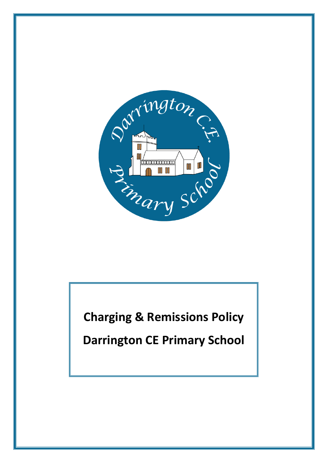

**Charging & Remissions Policy**

**Darrington CE Primary School**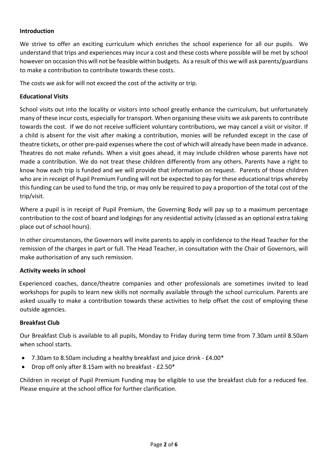## **Introduction**

We strive to offer an exciting curriculum which enriches the school experience for all our pupils. We understand that trips and experiences may incur a cost and these costs where possible will be met by school however on occasion this will not be feasible within budgets. As a result of this we will ask parents/guardians to make a contribution to contribute towards these costs.

The costs we ask for will not exceed the cost of the activity or trip.

#### **Educational Visits**

School visits out into the locality or visitors into school greatly enhance the curriculum, but unfortunately many of these incur costs, especially for transport. When organising these visits we ask parents to contribute towards the cost. If we do not receive sufficient voluntary contributions, we may cancel a visit or visitor. If a child is absent for the visit after making a contribution, monies will be refunded except in the case of theatre tickets, or other pre-paid expenses where the cost of which will already have been made in advance. Theatres do not make refunds. When a visit goes ahead, it may include children whose parents have not made a contribution. We do not treat these children differently from any others. Parents have a right to know how each trip is funded and we will provide that information on request. Parents of those children who are in receipt of Pupil Premium Funding will not be expected to pay for these educational trips whereby this funding can be used to fund the trip, or may only be required to pay a proportion of the total cost of the trip/visit.

Where a pupil is in receipt of Pupil Premium, the Governing Body will pay up to a maximum percentage contribution to the cost of board and lodgings for any residential activity (classed as an optional extra taking place out of school hours).

In other circumstances, the Governors will invite parents to apply in confidence to the Head Teacher for the remission of the charges in part or full. The Head Teacher, in consultation with the Chair of Governors, will make authorisation of any such remission.

#### **Activity weeks in school**

 Experienced coaches, dance/theatre companies and other professionals are sometimes invited to lead workshops for pupils to learn new skills not normally available through the school curriculum. Parents are asked usually to make a contribution towards these activities to help offset the cost of employing these outside agencies.

#### **Breakfast Club**

Our Breakfast Club is available to all pupils, Monday to Friday during term time from 7.30am until 8.50am when school starts.

- 7.30am to 8.50am including a healthy breakfast and juice drink £4.00\*
- Drop off only after 8.15am with no breakfast £2.50\*

Children in receipt of Pupil Premium Funding may be eligible to use the breakfast club for a reduced fee. Please enquire at the school office for further clarification.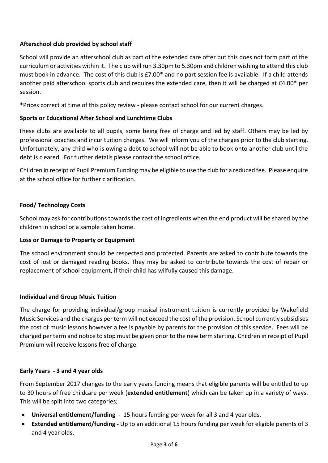# **Afterschool club provided by school staff**

School will provide an afterschool club as part of the extended care offer but this does not form part of the curriculum or activities within it. The club will run 3.30pm to 5.30pm and children wishing to attend this club must book in advance. The cost of this club is £7.00\* and no part session fee is available. If a child attends another paid afterschool sports club and requires the extended care, then it will be charged at £4.00\* per session.

\*Prices correct at time of this policy review - please contact school for our current charges.

### **Sports or Educational After School and Lunchtime Clubs**

 These clubs are available to all pupils, some being free of charge and led by staff. Others may be led by professional coaches and incur tuition charges. We will inform you of the charges prior to the club starting. Unfortunately, any child who is owing a debt to school will not be able to book onto another club until the debt is cleared. For further details please contact the school office.

Children in receipt of Pupil Premium Funding may be eligible to use the club for a reduced fee. Please enquire at the school office for further clarification.

### **Food/ Technology Costs**

School may ask for contributions towards the cost of ingredients when the end product will be shared by the children in school or a sample taken home.

#### **Loss or Damage to Property or Equipment**

The school environment should be respected and protected. Parents are asked to contribute towards the cost of lost or damaged reading books. They may be asked to contribute towards the cost of repair or replacement of school equipment, if their child has wilfully caused this damage.

#### **Individual and Group Music Tuition**

The charge for providing individual/group musical instrument tuition is currently provided by Wakefield Music Services and the charges per term will not exceed the cost of the provision. School currently subsidises the cost of music lessons however a fee is payable by parents for the provision of this service. Fees will be charged per term and notice to stop must be given prior to the new term starting. Children in receipt of Pupil Premium will receive lessons free of charge.

#### **Early Years - 3 and 4 year olds**

From September 2017 changes to the early years funding means that eligible parents will be entitled to up to 30 hours of free childcare per week (**extended entitlement**) which can be taken up in a variety of ways. This will be split into two categories;

- **Universal entitlement/funding** 15 hours funding per week for all 3 and 4 year olds.
- **Extended entitlement/funding -** Up to an additional 15 hours funding per week for eligible parents of 3 and 4 year olds.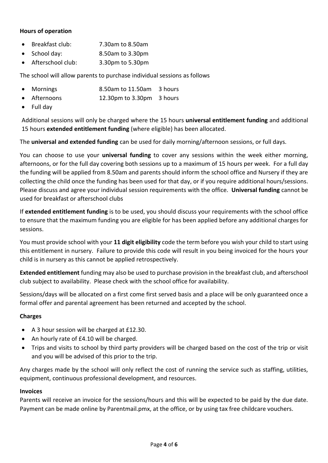# **Hours of operation**

- Breakfast club: 7.30am to 8.50am
- School day: 8.50am to 3.30pm
- Afterschool club: 3.30pm to 5.30pm

The school will allow parents to purchase individual sessions as follows

- Mornings 8.50am to 11.50am 3 hours
- Afternoons 12.30pm to 3.30pm 3 hours
- Full dav

Additional sessions will only be charged where the 15 hours **universal entitlement funding** and additional 15 hours **extended entitlement funding** (where eligible) has been allocated.

The **universal and extended funding** can be used for daily morning/afternoon sessions, or full days.

You can choose to use your **universal funding** to cover any sessions within the week either morning, afternoons, or for the full day covering both sessions up to a maximum of 15 hours per week. For a full day the funding will be applied from 8.50am and parents should inform the school office and Nursery if they are collecting the child once the funding has been used for that day, or if you require additional hours/sessions. Please discuss and agree your individual session requirements with the office. **Universal funding** cannot be used for breakfast or afterschool clubs

If **extended entitlement funding** is to be used, you should discuss your requirements with the school office to ensure that the maximum funding you are eligible for has been applied before any additional charges for sessions.

You must provide school with your **11 digit eligibility** code the term before you wish your child to start using this entitlement in nursery. Failure to provide this code will result in you being invoiced for the hours your child is in nursery as this cannot be applied retrospectively.

**Extended entitlement** funding may also be used to purchase provision in the breakfast club, and afterschool club subject to availability. Please check with the school office for availability.

Sessions/days will be allocated on a first come first served basis and a place will be only guaranteed once a formal offer and parental agreement has been returned and accepted by the school.

## **Charges**

- A 3 hour session will be charged at £12.30.
- An hourly rate of £4.10 will be charged.
- Trips and visits to school by third party providers will be charged based on the cost of the trip or visit and you will be advised of this prior to the trip.

Any charges made by the school will only reflect the cost of running the service such as staffing, utilities, equipment, continuous professional development, and resources.

#### **Invoices**

Parents will receive an invoice for the sessions/hours and this will be expected to be paid by the due date. Payment can be made online by Parentmail.pmx, at the office, or by using tax free childcare vouchers.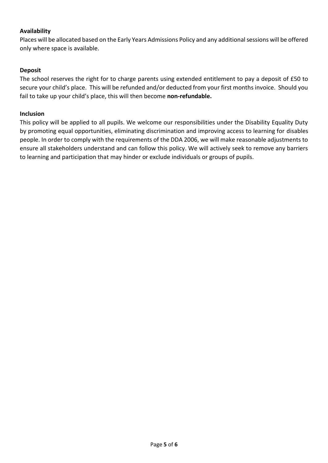## **Availability**

Places will be allocated based on the Early Years Admissions Policy and any additionalsessions will be offered only where space is available.

## **Deposit**

The school reserves the right for to charge parents using extended entitlement to pay a deposit of £50 to secure your child's place. This will be refunded and/or deducted from your first months invoice. Should you fail to take up your child's place, this will then become **non-refundable.**

## **Inclusion**

This policy will be applied to all pupils. We welcome our responsibilities under the Disability Equality Duty by promoting equal opportunities, eliminating discrimination and improving access to learning for disables people. In order to comply with the requirements of the DDA 2006, we will make reasonable adjustments to ensure all stakeholders understand and can follow this policy. We will actively seek to remove any barriers to learning and participation that may hinder or exclude individuals or groups of pupils.